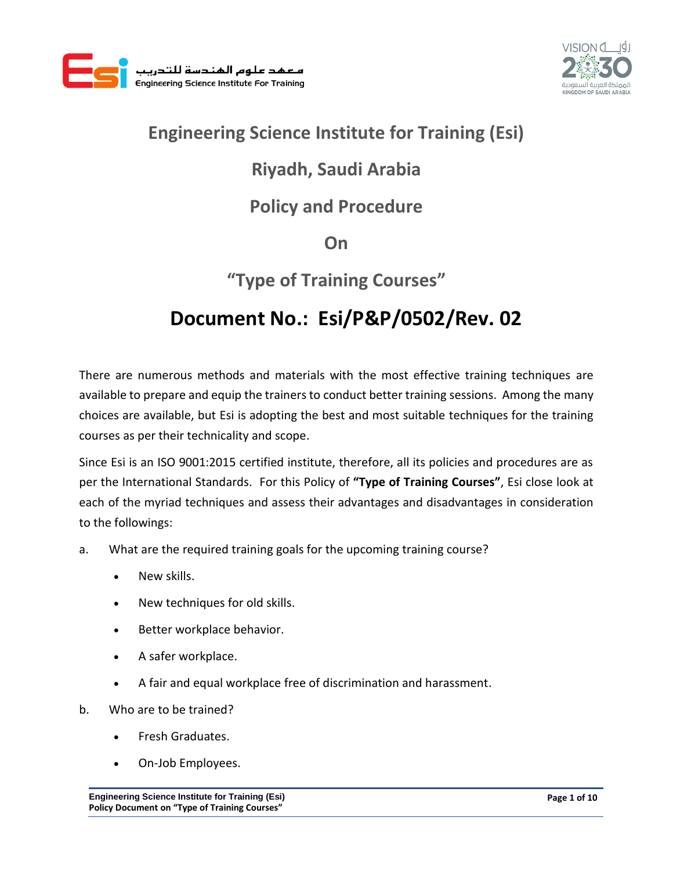



### **Engineering Science Institute for Training (Esi)**

# **Riyadh, Saudi Arabia**

### **Policy and Procedure**

**On**

## **"Type of Training Courses"**

# **Document No.: Esi/P&P/0502/Rev. 02**

There are numerous methods and materials with the most effective training techniques are available to prepare and equip the trainers to conduct better training sessions. Among the many choices are available, but Esi is adopting the best and most suitable techniques for the training courses as per their technicality and scope.

Since Esi is an ISO 9001:2015 certified institute, therefore, all its policies and procedures are as per the International Standards.For this Policy of **"Type of Training Courses"**, Esi close look at each of the myriad techniques and assess their advantages and disadvantages in consideration to the followings:

- a. What are the required training goals for the upcoming training course?
	- New skills.
	- New techniques for old skills.
	- Better workplace behavior.
	- A safer workplace.
	- A fair and equal workplace free of discrimination and harassment.
- b. Who are to be trained?
	- Fresh Graduates.
	- On-Job Employees.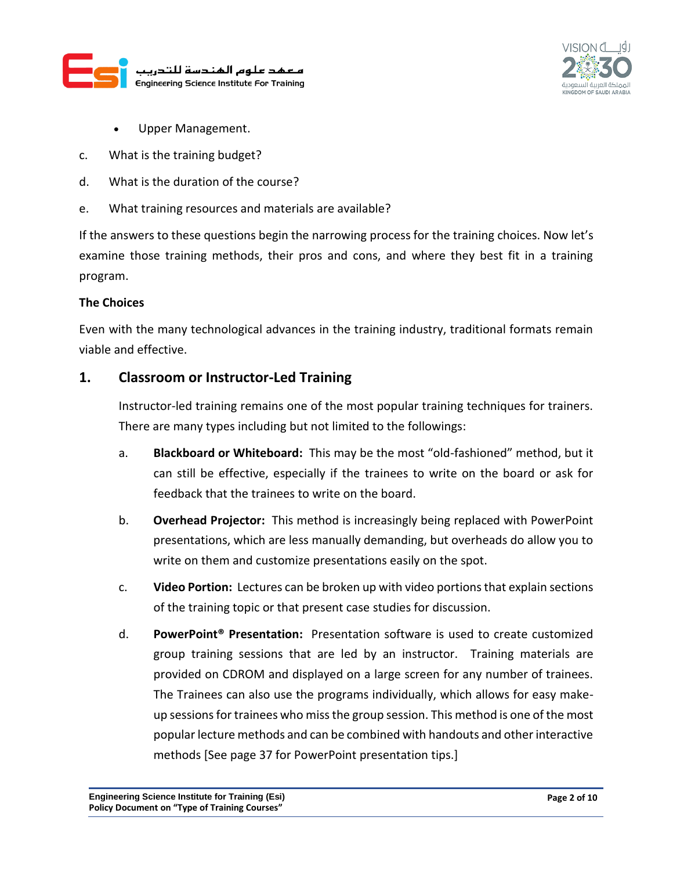



- Upper Management.
- c. What is the training budget?
- d. What is the duration of the course?
- e. What training resources and materials are available?

If the answers to these questions begin the narrowing process for the training choices. Now let's examine those training methods, their pros and cons, and where they best fit in a training program.

#### **The Choices**

Even with the many technological advances in the training industry, traditional formats remain viable and effective.

#### **1. Classroom or Instructor-Led Training**

Instructor-led training remains one of the most popular training techniques for trainers. There are many types including but not limited to the followings:

- a. **Blackboard or Whiteboard:** This may be the most "old-fashioned" method, but it can still be effective, especially if the trainees to write on the board or ask for feedback that the trainees to write on the board.
- b. **Overhead Projector:** This method is increasingly being replaced with PowerPoint presentations, which are less manually demanding, but overheads do allow you to write on them and customize presentations easily on the spot.
- c. **Video Portion:** Lectures can be broken up with video portions that explain sections of the training topic or that present case studies for discussion.
- d. **PowerPoint® Presentation:** Presentation software is used to create customized group training sessions that are led by an instructor. Training materials are provided on CDROM and displayed on a large screen for any number of trainees. The Trainees can also use the programs individually, which allows for easy makeup sessions for trainees who miss the group session. This method is one of the most popular lecture methods and can be combined with handouts and other interactive methods [See page 37 for PowerPoint presentation tips.]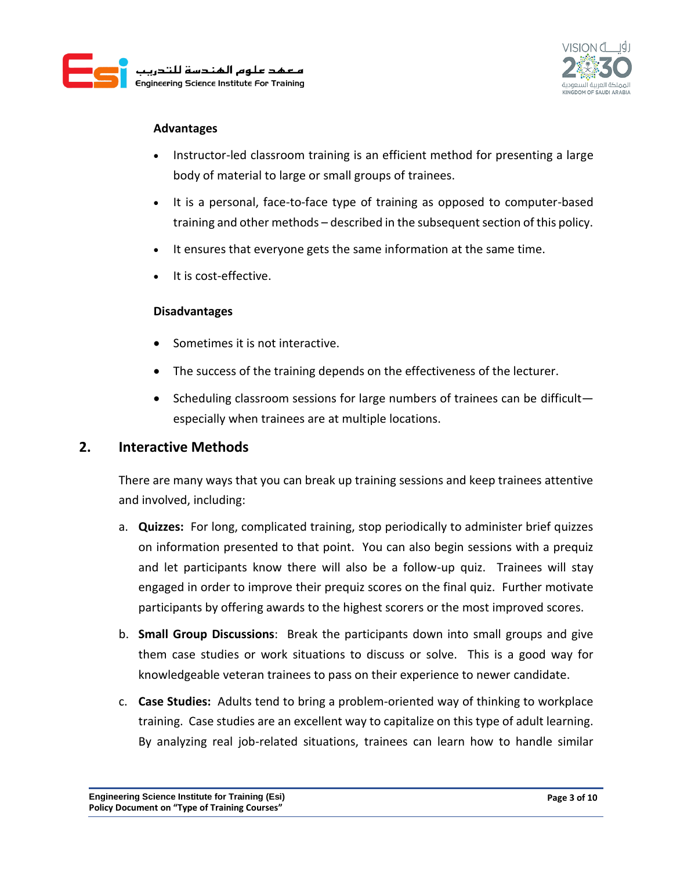



#### **Advantages**

- Instructor-led classroom training is an efficient method for presenting a large body of material to large or small groups of trainees.
- It is a personal, face-to-face type of training as opposed to computer-based training and other methods – described in the subsequent section of this policy.
- It ensures that everyone gets the same information at the same time.
- It is cost-effective.

#### **Disadvantages**

- Sometimes it is not interactive.
- The success of the training depends on the effectiveness of the lecturer.
- Scheduling classroom sessions for large numbers of trainees can be difficultespecially when trainees are at multiple locations.

#### **2. Interactive Methods**

There are many ways that you can break up training sessions and keep trainees attentive and involved, including:

- a. **Quizzes:** For long, complicated training, stop periodically to administer brief quizzes on information presented to that point. You can also begin sessions with a prequiz and let participants know there will also be a follow-up quiz. Trainees will stay engaged in order to improve their prequiz scores on the final quiz. Further motivate participants by offering awards to the highest scorers or the most improved scores.
- b. **Small Group Discussions**: Break the participants down into small groups and give them case studies or work situations to discuss or solve. This is a good way for knowledgeable veteran trainees to pass on their experience to newer candidate.
- c. **Case Studies:** Adults tend to bring a problem-oriented way of thinking to workplace training. Case studies are an excellent way to capitalize on this type of adult learning. By analyzing real job-related situations, trainees can learn how to handle similar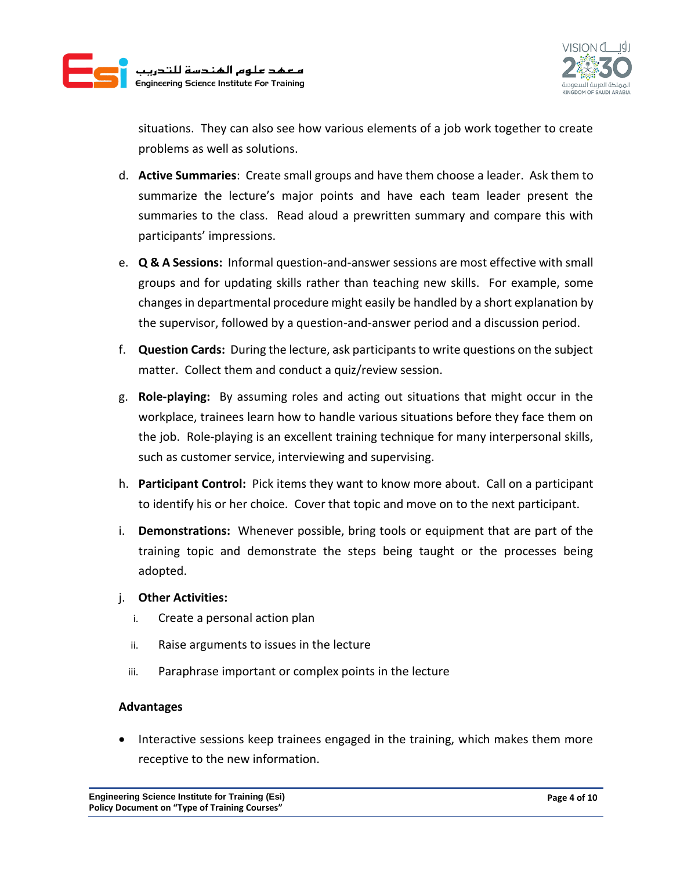



situations. They can also see how various elements of a job work together to create problems as well as solutions.

- d. **Active Summaries**: Create small groups and have them choose a leader. Ask them to summarize the lecture's major points and have each team leader present the summaries to the class. Read aloud a prewritten summary and compare this with participants' impressions.
- e. **Q & A Sessions:** Informal question-and-answer sessions are most effective with small groups and for updating skills rather than teaching new skills. For example, some changes in departmental procedure might easily be handled by a short explanation by the supervisor, followed by a question-and-answer period and a discussion period.
- f. **Question Cards:** During the lecture, ask participants to write questions on the subject matter. Collect them and conduct a quiz/review session.
- g. **Role-playing:** By assuming roles and acting out situations that might occur in the workplace, trainees learn how to handle various situations before they face them on the job. Role-playing is an excellent training technique for many interpersonal skills, such as customer service, interviewing and supervising.
- h. **Participant Control:** Pick items they want to know more about. Call on a participant to identify his or her choice. Cover that topic and move on to the next participant.
- i. **Demonstrations:** Whenever possible, bring tools or equipment that are part of the training topic and demonstrate the steps being taught or the processes being adopted.

#### j. **Other Activities:**

- i. Create a personal action plan
- ii. Raise arguments to issues in the lecture
- iii. Paraphrase important or complex points in the lecture

#### **Advantages**

 Interactive sessions keep trainees engaged in the training, which makes them more receptive to the new information.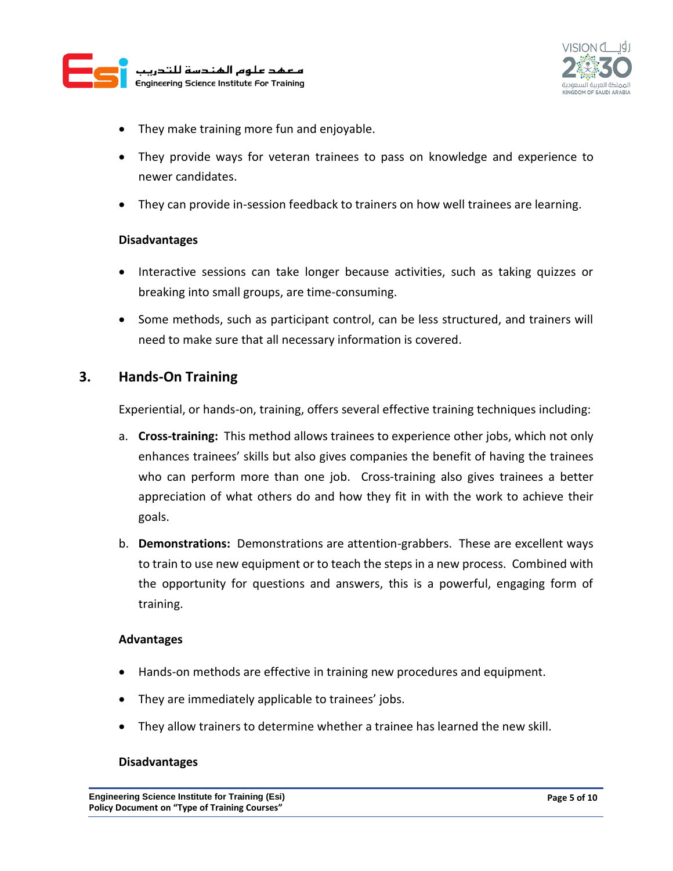



- They make training more fun and enjoyable.
- They provide ways for veteran trainees to pass on knowledge and experience to newer candidates.
- They can provide in-session feedback to trainers on how well trainees are learning.

#### **Disadvantages**

- Interactive sessions can take longer because activities, such as taking quizzes or breaking into small groups, are time-consuming.
- Some methods, such as participant control, can be less structured, and trainers will need to make sure that all necessary information is covered.

#### **3. Hands-On Training**

Experiential, or hands-on, training, offers several effective training techniques including:

- a. **Cross-training:** This method allows trainees to experience other jobs, which not only enhances trainees' skills but also gives companies the benefit of having the trainees who can perform more than one job. Cross-training also gives trainees a better appreciation of what others do and how they fit in with the work to achieve their goals.
- b. **Demonstrations:** Demonstrations are attention-grabbers. These are excellent ways to train to use new equipment or to teach the steps in a new process. Combined with the opportunity for questions and answers, this is a powerful, engaging form of training.

#### **Advantages**

- Hands-on methods are effective in training new procedures and equipment.
- They are immediately applicable to trainees' jobs.
- They allow trainers to determine whether a trainee has learned the new skill.

#### **Disadvantages**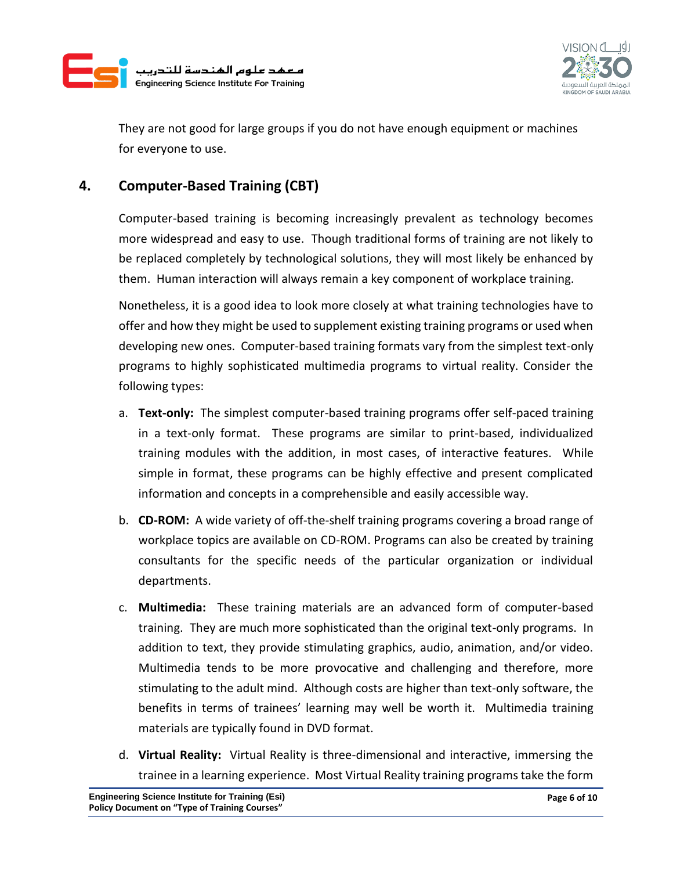



They are not good for large groups if you do not have enough equipment or machines for everyone to use.

### **4. Computer-Based Training (CBT)**

Computer-based training is becoming increasingly prevalent as technology becomes more widespread and easy to use. Though traditional forms of training are not likely to be replaced completely by technological solutions, they will most likely be enhanced by them. Human interaction will always remain a key component of workplace training.

Nonetheless, it is a good idea to look more closely at what training technologies have to offer and how they might be used to supplement existing training programs or used when developing new ones. Computer-based training formats vary from the simplest text-only programs to highly sophisticated multimedia programs to virtual reality. Consider the following types:

- a. **Text-only:** The simplest computer-based training programs offer self-paced training in a text-only format. These programs are similar to print-based, individualized training modules with the addition, in most cases, of interactive features. While simple in format, these programs can be highly effective and present complicated information and concepts in a comprehensible and easily accessible way.
- b. **CD-ROM:** A wide variety of off-the-shelf training programs covering a broad range of workplace topics are available on CD-ROM. Programs can also be created by training consultants for the specific needs of the particular organization or individual departments.
- c. **Multimedia:** These training materials are an advanced form of computer-based training. They are much more sophisticated than the original text-only programs. In addition to text, they provide stimulating graphics, audio, animation, and/or video. Multimedia tends to be more provocative and challenging and therefore, more stimulating to the adult mind. Although costs are higher than text-only software, the benefits in terms of trainees' learning may well be worth it. Multimedia training materials are typically found in DVD format.
- d. **Virtual Reality:** Virtual Reality is three-dimensional and interactive, immersing the trainee in a learning experience. Most Virtual Reality training programs take the form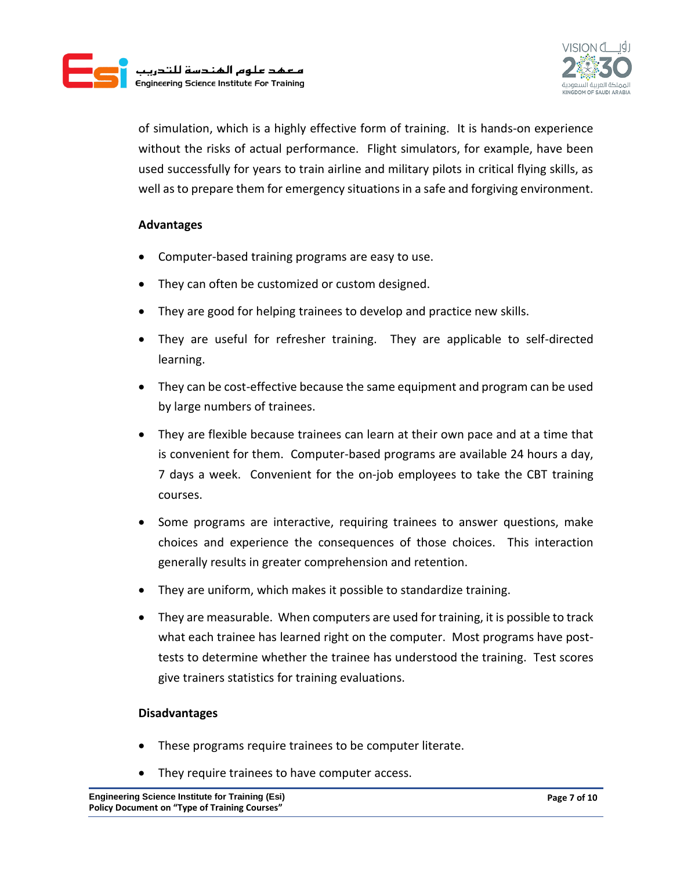



of simulation, which is a highly effective form of training. It is hands-on experience without the risks of actual performance. Flight simulators, for example, have been used successfully for years to train airline and military pilots in critical flying skills, as well as to prepare them for emergency situations in a safe and forgiving environment.

#### **Advantages**

- Computer-based training programs are easy to use.
- They can often be customized or custom designed.
- They are good for helping trainees to develop and practice new skills.
- They are useful for refresher training. They are applicable to self-directed learning.
- They can be cost-effective because the same equipment and program can be used by large numbers of trainees.
- They are flexible because trainees can learn at their own pace and at a time that is convenient for them. Computer-based programs are available 24 hours a day, 7 days a week. Convenient for the on-job employees to take the CBT training courses.
- Some programs are interactive, requiring trainees to answer questions, make choices and experience the consequences of those choices. This interaction generally results in greater comprehension and retention.
- They are uniform, which makes it possible to standardize training.
- They are measurable. When computers are used for training, it is possible to track what each trainee has learned right on the computer. Most programs have posttests to determine whether the trainee has understood the training. Test scores give trainers statistics for training evaluations.

#### **Disadvantages**

- These programs require trainees to be computer literate.
- They require trainees to have computer access.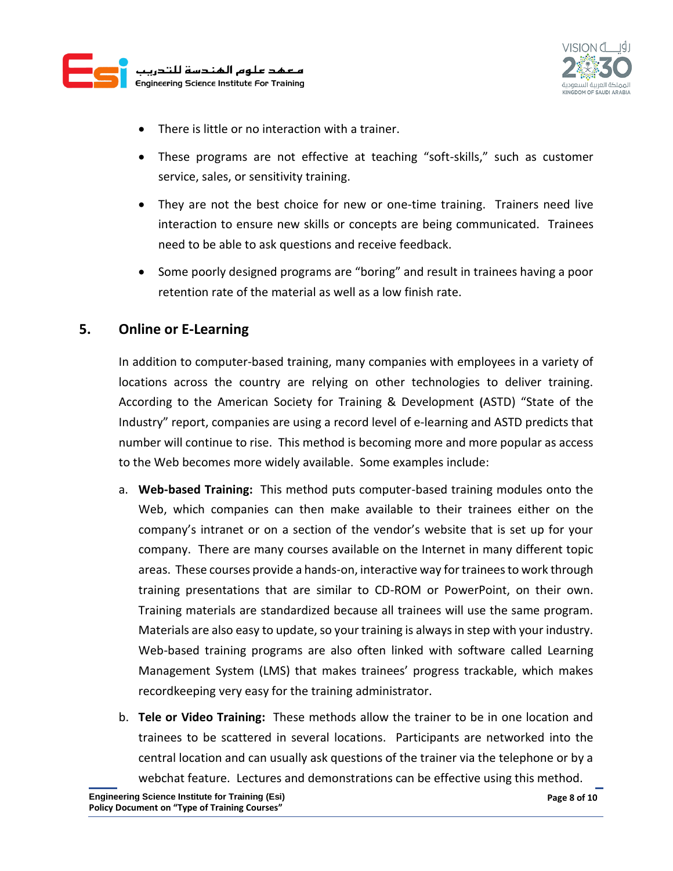



- There is little or no interaction with a trainer.
- These programs are not effective at teaching "soft-skills," such as customer service, sales, or sensitivity training.
- They are not the best choice for new or one-time training. Trainers need live interaction to ensure new skills or concepts are being communicated. Trainees need to be able to ask questions and receive feedback.
- Some poorly designed programs are "boring" and result in trainees having a poor retention rate of the material as well as a low finish rate.

#### **5. Online or E-Learning**

In addition to computer-based training, many companies with employees in a variety of locations across the country are relying on other technologies to deliver training. According to the American Society for Training & Development **(**ASTD) "State of the Industry" report, companies are using a record level of e-learning and ASTD predicts that number will continue to rise. This method is becoming more and more popular as access to the Web becomes more widely available. Some examples include:

- a. **Web-based Training:** This method puts computer-based training modules onto the Web, which companies can then make available to their trainees either on the company's intranet or on a section of the vendor's website that is set up for your company. There are many courses available on the Internet in many different topic areas. These courses provide a hands-on, interactive way for trainees to work through training presentations that are similar to CD-ROM or PowerPoint, on their own. Training materials are standardized because all trainees will use the same program. Materials are also easy to update, so your training is always in step with your industry. Web-based training programs are also often linked with software called Learning Management System (LMS) that makes trainees' progress trackable, which makes recordkeeping very easy for the training administrator.
- b. **Tele or Video Training:** These methods allow the trainer to be in one location and trainees to be scattered in several locations. Participants are networked into the central location and can usually ask questions of the trainer via the telephone or by a webchat feature. Lectures and demonstrations can be effective using this method.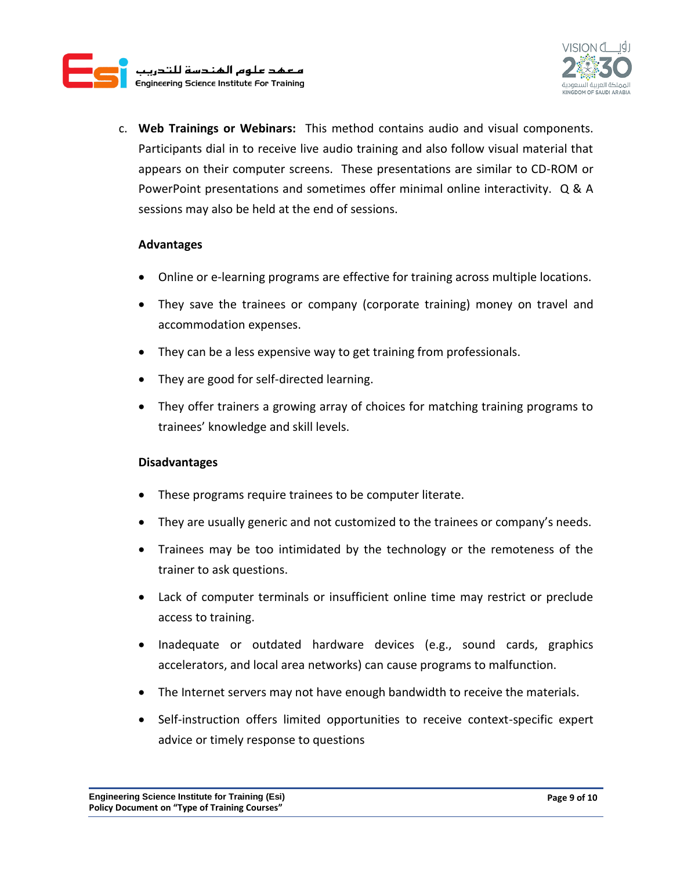



c. **Web Trainings or Webinars:** This method contains audio and visual components. Participants dial in to receive live audio training and also follow visual material that appears on their computer screens. These presentations are similar to CD-ROM or PowerPoint presentations and sometimes offer minimal online interactivity. Q & A sessions may also be held at the end of sessions.

#### **Advantages**

- Online or e-learning programs are effective for training across multiple locations.
- They save the trainees or company (corporate training) money on travel and accommodation expenses.
- They can be a less expensive way to get training from professionals.
- They are good for self-directed learning.
- They offer trainers a growing array of choices for matching training programs to trainees' knowledge and skill levels.

#### **Disadvantages**

- These programs require trainees to be computer literate.
- They are usually generic and not customized to the trainees or company's needs.
- Trainees may be too intimidated by the technology or the remoteness of the trainer to ask questions.
- Lack of computer terminals or insufficient online time may restrict or preclude access to training.
- Inadequate or outdated hardware devices (e.g., sound cards, graphics accelerators, and local area networks) can cause programs to malfunction.
- The Internet servers may not have enough bandwidth to receive the materials.
- Self-instruction offers limited opportunities to receive context-specific expert advice or timely response to questions